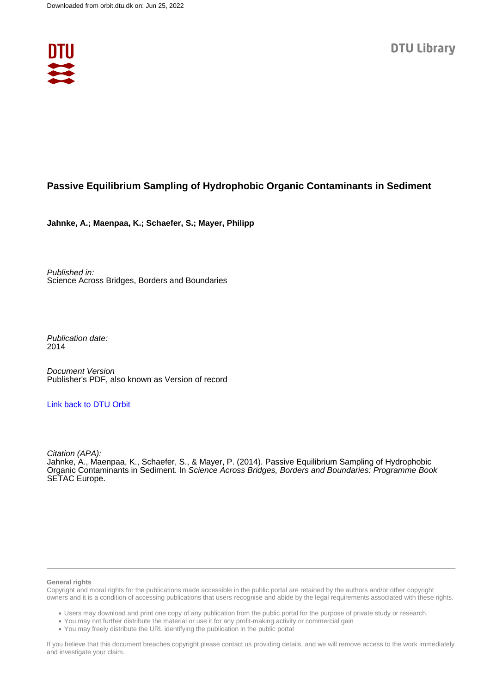

## **Passive Equilibrium Sampling of Hydrophobic Organic Contaminants in Sediment**

**Jahnke, A.; Maenpaa, K.; Schaefer, S.; Mayer, Philipp**

Published in: Science Across Bridges, Borders and Boundaries

Publication date: 2014

Document Version Publisher's PDF, also known as Version of record

## [Link back to DTU Orbit](https://orbit.dtu.dk/en/publications/63f237a0-329f-4719-bdf4-584479515695)

Citation (APA): Jahnke, A., Maenpaa, K., Schaefer, S., & Mayer, P. (2014). Passive Equilibrium Sampling of Hydrophobic Organic Contaminants in Sediment. In Science Across Bridges, Borders and Boundaries: Programme Book SETAC Europe.

## **General rights**

Copyright and moral rights for the publications made accessible in the public portal are retained by the authors and/or other copyright owners and it is a condition of accessing publications that users recognise and abide by the legal requirements associated with these rights.

Users may download and print one copy of any publication from the public portal for the purpose of private study or research.

- You may not further distribute the material or use it for any profit-making activity or commercial gain
- You may freely distribute the URL identifying the publication in the public portal

If you believe that this document breaches copyright please contact us providing details, and we will remove access to the work immediately and investigate your claim.